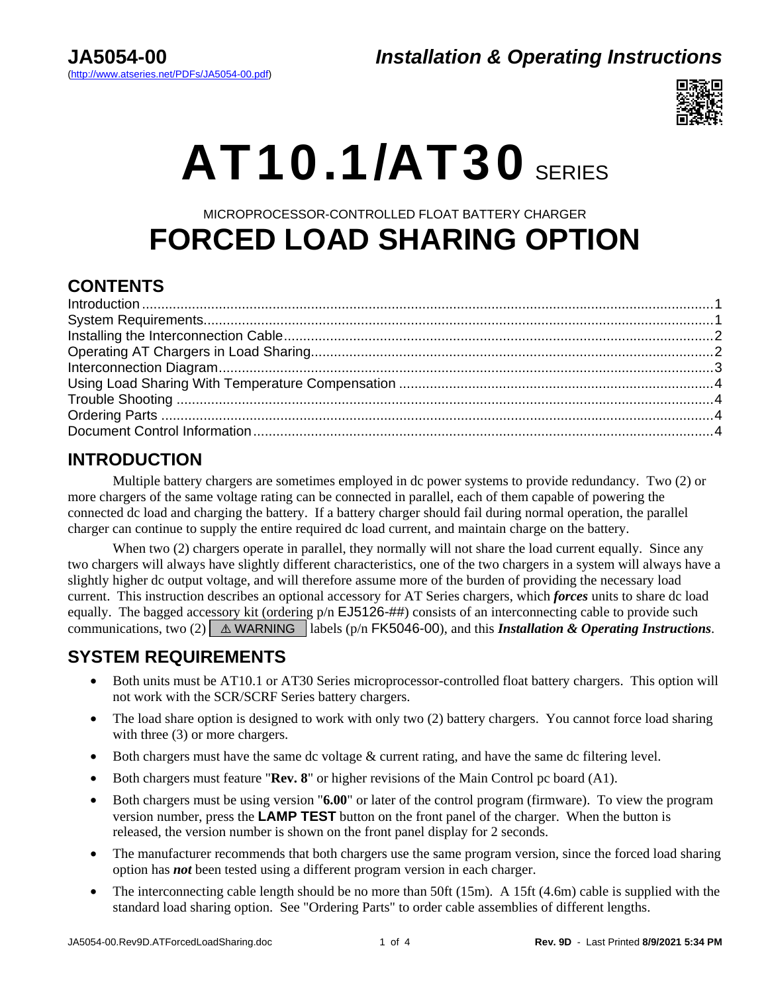### **JA5054-00** *Installation & Operating Instructions*



# $AT10.1/AT30$  SERIES

## MICROPROCESSOR-CONTROLLED FLOAT BATTERY CHARGER **FORCED LOAD SHARING OPTION**

### **CONTENTS**

### <span id="page-0-0"></span>**INTRODUCTION**

 Multiple battery chargers are sometimes employed in dc power systems to provide redundancy. Two (2) or more chargers of the same voltage rating can be connected in parallel, each of them capable of powering the connected dc load and charging the battery. If a battery charger should fail during normal operation, the parallel charger can continue to supply the entire required dc load current, and maintain charge on the battery.

When two (2) chargers operate in parallel, they normally will not share the load current equally. Since any two chargers will always have slightly different characteristics, one of the two chargers in a system will always have a slightly higher dc output voltage, and will therefore assume more of the burden of providing the necessary load current. This instruction describes an optional accessory for AT Series chargers, which *forces* units to share dc load equally. The bagged accessory kit (ordering  $p/n$  EJ5126-##) consists of an interconnecting cable to provide such communications, two (2)  $\&$  MARNING. labels (p/n FK5046-00), and this *Installation & Operating Instructions*.

### <span id="page-0-1"></span>**SYSTEM REQUIREMENTS**

- Both units must be AT10.1 or AT30 Series microprocessor-controlled float battery chargers. This option will not work with the SCR/SCRF Series battery chargers.
- The load share option is designed to work with only two (2) battery chargers. You cannot force load sharing with three  $(3)$  or more chargers.
- Both chargers must have the same dc voltage & current rating, and have the same dc filtering level.
- Both chargers must feature "**Rev. 8**" or higher revisions of the Main Control pc board (A1).
- Both chargers must be using version "**6.00**" or later of the control program (firmware). To view the program version number, press the **LAMP TEST** button on the front panel of the charger. When the button is released, the version number is shown on the front panel display for 2 seconds.
- The manufacturer recommends that both chargers use the same program version, since the forced load sharing option has *not* been tested using a different program version in each charger.
- The interconnecting cable length should be no more than 50ft (15m). A 15ft (4.6m) cable is supplied with the standard load sharing option. See "Ordering Parts" to order cable assemblies of different lengths.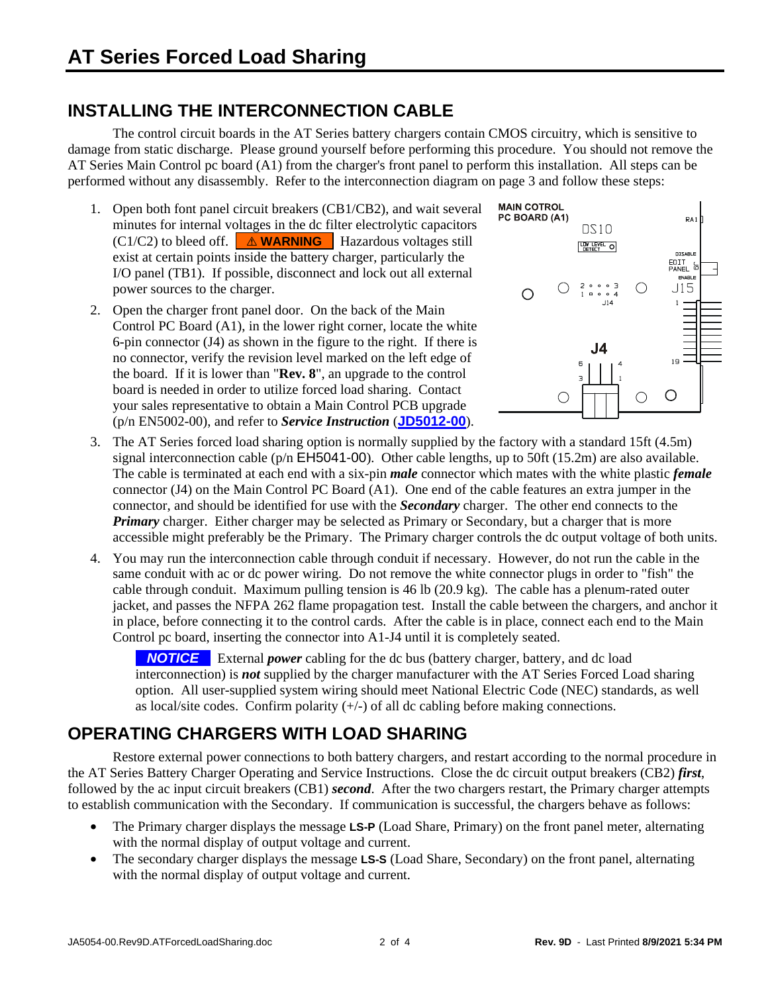### <span id="page-1-0"></span>**INSTALLING THE INTERCONNECTION CABLE**

 The control circuit boards in the AT Series battery chargers contain CMOS circuitry, which is sensitive to damage from static discharge. Please ground yourself before performing this procedure. You should not remove the AT Series Main Control pc board (A1) from the charger's front panel to perform this installation. All steps can be performed without any disassembly. Refer to the interconnection diagram on page 3 and follow these steps:

- 1. Open both font panel circuit breakers (CB1/CB2), and wait several minutes for internal voltages in the dc filter electrolytic capacitors  $(C1/C2)$  to bleed off.  $\triangle$  **WARNING**. Hazardous voltages still exist at certain points inside the battery charger, particularly the I/O panel (TB1). If possible, disconnect and lock out all external power sources to the charger.
- 2. Open the charger front panel door. On the back of the Main Control PC Board (A1), in the lower right corner, locate the white 6-pin connector (J4) as shown in the figure to the right. If there is no connector, verify the revision level marked on the left edge of the board. If it is lower than "**Rev. 8**", an upgrade to the control board is needed in order to utilize forced load sharing. Contact your sales representative to obtain a Main Control PCB upgrade (p/n EN5002-00), and refer to *Service Instruction* (**[JD5012-00](http://www.atseries.net/PDFs/JD5012-00.pdf)**).



- 3. The AT Series forced load sharing option is normally supplied by the factory with a standard 15ft (4.5m) signal interconnection cable ( $p/n$  EH5041-00). Other cable lengths, up to 50ft (15.2m) are also available. The cable is terminated at each end with a six-pin *male* connector which mates with the white plastic *female* connector (J4) on the Main Control PC Board (A1). One end of the cable features an extra jumper in the connector, and should be identified for use with the *Secondary* charger. The other end connects to the *Primary* charger. Either charger may be selected as Primary or Secondary, but a charger that is more accessible might preferably be the Primary. The Primary charger controls the dc output voltage of both units.
- 4. You may run the interconnection cable through conduit if necessary. However, do not run the cable in the same conduit with ac or dc power wiring. Do not remove the white connector plugs in order to "fish" the cable through conduit. Maximum pulling tension is 46 lb (20.9 kg). The cable has a plenum-rated outer jacket, and passes the NFPA 262 flame propagation test. Install the cable between the chargers, and anchor it in place, before connecting it to the control cards. After the cable is in place, connect each end to the Main Control pc board, inserting the connector into A1-J4 until it is completely seated.

**NOTICE** External *power* cabling for the dc bus (battery charger, battery, and dc load interconnection) is *not* supplied by the charger manufacturer with the AT Series Forced Load sharing option. All user-supplied system wiring should meet National Electric Code (NEC) standards, as well as local/site codes. Confirm polarity  $(+/-)$  of all dc cabling before making connections.

### <span id="page-1-1"></span>**OPERATING CHARGERS WITH LOAD SHARING**

 Restore external power connections to both battery chargers, and restart according to the normal procedure in the AT Series Battery Charger Operating and Service Instructions. Close the dc circuit output breakers (CB2) *first*, followed by the ac input circuit breakers (CB1) *second*. After the two chargers restart, the Primary charger attempts to establish communication with the Secondary. If communication is successful, the chargers behave as follows:

- The Primary charger displays the message **LS-P** (Load Share, Primary) on the front panel meter, alternating with the normal display of output voltage and current.
- The secondary charger displays the message **LS-S** (Load Share, Secondary) on the front panel, alternating with the normal display of output voltage and current.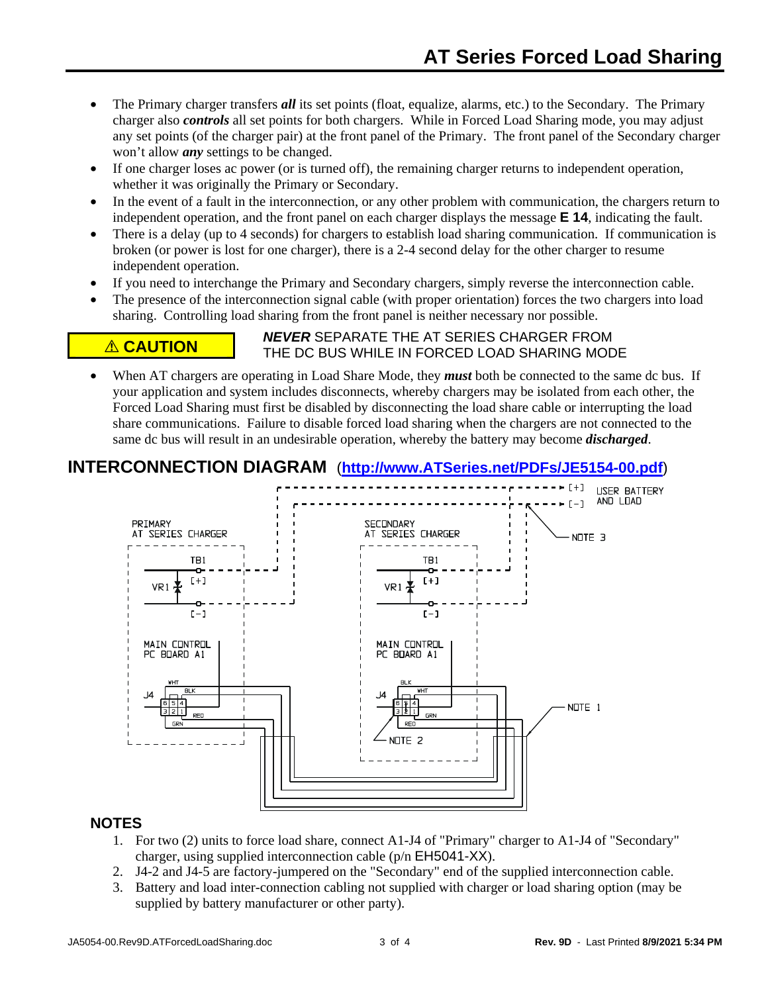- The Primary charger transfers *all* its set points (float, equalize, alarms, etc.) to the Secondary. The Primary charger also *controls* all set points for both chargers. While in Forced Load Sharing mode, you may adjust any set points (of the charger pair) at the front panel of the Primary. The front panel of the Secondary charger won't allow *any* settings to be changed.
- If one charger loses ac power (or is turned off), the remaining charger returns to independent operation, whether it was originally the Primary or Secondary.
- In the event of a fault in the interconnection, or any other problem with communication, the chargers return to independent operation, and the front panel on each charger displays the message **E 14**, indicating the fault.
- There is a delay (up to 4 seconds) for chargers to establish load sharing communication. If communication is broken (or power is lost for one charger), there is a 2-4 second delay for the other charger to resume independent operation.
- If you need to interchange the Primary and Secondary chargers, simply reverse the interconnection cable.
- The presence of the interconnection signal cable (with proper orientation) forces the two chargers into load sharing. Controlling load sharing from the front panel is neither necessary nor possible.

**A CAUTION PEVER** SEPARATE THE AT SERIES CHARGER FROM THE DC BUS WHILE IN FORCED LOAD SHARING MODE

• When AT chargers are operating in Load Share Mode, they *must* both be connected to the same dc bus. If your application and system includes disconnects, whereby chargers may be isolated from each other, the Forced Load Sharing must first be disabled by disconnecting the load share cable or interrupting the load share communications. Failure to disable forced load sharing when the chargers are not connected to the same dc bus will result in an undesirable operation, whereby the battery may become *discharged*.

### <span id="page-2-0"></span>**INTERCONNECTION DIAGRAM** (**[http://www.ATSeries.net/PDFs/JE5154-00.pdf](http://www.atseries.net/PDFs/JE5154-00.pdf)**)



### **NO[TES](http://www.atseries.net/PDFs/JE5154-00.pdf)**

- 1. For two (2) units to force load share, connect A1-J4 of "Primary" charger to A1-J4 of "Secondary" charger, using supplied interconnection cable (p/n EH5041-XX).
- 2. J4-2 and J4-5 are factory-jumpered on the "Secondary" end of the supplied interconnection cable.
- 3. Battery and load inter-connection cabling not supplied with charger or load sharing option (may be supplied by battery manufacturer or other party).